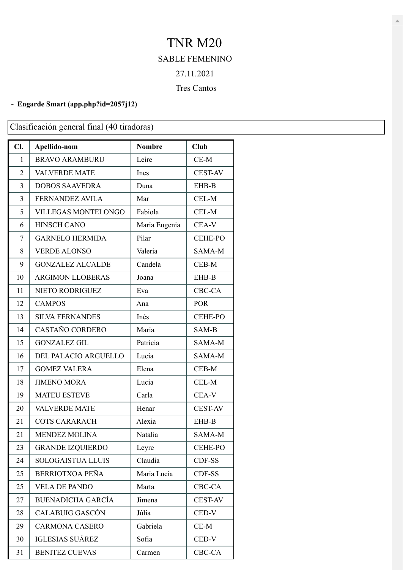## TNR M20 SABLE FEMENINO 27.11.2021 Tres Cantos

## **- Engarde Smart [\(app.php?id=2057j12\)](https://engarde-service.com/app.php?id=2057j12)**

Clasificación general final (40 tiradoras)

| Cl.            | Apellido-nom               | <b>Nombre</b> | <b>Club</b>    |
|----------------|----------------------------|---------------|----------------|
| 1              | <b>BRAVO ARAMBURU</b>      | Leire         | $CE-M$         |
| $\overline{2}$ | <b>VALVERDE MATE</b>       | Ines          | <b>CEST-AV</b> |
| 3              | <b>DOBOS SAAVEDRA</b>      | Duna          | EHB-B          |
| 3              | <b>FERNANDEZ AVILA</b>     | Mar           | CEL-M          |
| 5              | <b>VILLEGAS MONTELONGO</b> | Fabiola       | CEL-M          |
| 6              | <b>HINSCH CANO</b>         | Maria Eugenia | CEA-V          |
| 7              | <b>GARNELO HERMIDA</b>     | Pilar         | <b>CEHE-PO</b> |
| 8              | <b>VERDE ALONSO</b>        | Valeria       | SAMA-M         |
| 9              | <b>GONZALEZ ALCALDE</b>    | Candela       | CEB-M          |
| 10             | <b>ARGIMON LLOBERAS</b>    | Joana         | EHB-B          |
| 11             | <b>NIETO RODRIGUEZ</b>     | Eva           | CBC-CA         |
| 12             | <b>CAMPOS</b>              | Ana           | <b>POR</b>     |
| 13             | <b>SILVA FERNANDES</b>     | Inés          | <b>CEHE-PO</b> |
| 14             | CASTAÑO CORDERO            | Maria         | SAM-B          |
| 15             | <b>GONZALEZ GIL</b>        | Patricia      | SAMA-M         |
| 16             | DEL PALACIO ARGUELLO       | Lucia         | SAMA-M         |
| 17             | <b>GOMEZ VALERA</b>        | Elena         | CEB-M          |
| 18             | <b>JIMENO MORA</b>         | Lucia         | CEL-M          |
| 19             | <b>MATEU ESTEVE</b>        | Carla         | CEA-V          |
| 20             | <b>VALVERDE MATE</b>       | Henar         | <b>CEST-AV</b> |
| 21             | <b>COTS CARARACH</b>       | Alexia        | EHB-B          |
| 21             | <b>MENDEZ MOLINA</b>       | Natalia       | SAMA-M         |
| 23             | <b>GRANDE IZQUIERDO</b>    | Leyre         | <b>CEHE-PO</b> |
| 24             | <b>SOLOGAISTUA LLUIS</b>   | Claudia       | CDF-SS         |
| 25             | BERRIOTXOA PEÑA            | Maria Lucia   | CDF-SS         |
| 25             | <b>VELA DE PANDO</b>       | Marta         | CBC-CA         |
| 27             | <b>BUENADICHA GARCÍA</b>   | Jimena        | <b>CEST-AV</b> |
| 28             | CALABUIG GASCÓN            | Júlia         | CED-V          |
| 29             | <b>CARMONA CASERO</b>      | Gabriela      | $CE-M$         |
| 30             | <b>IGLESIAS SUÁREZ</b>     | Sofia         | CED-V          |
| 31             | <b>BENITEZ CUEVAS</b>      | Carmen        | CBC-CA         |